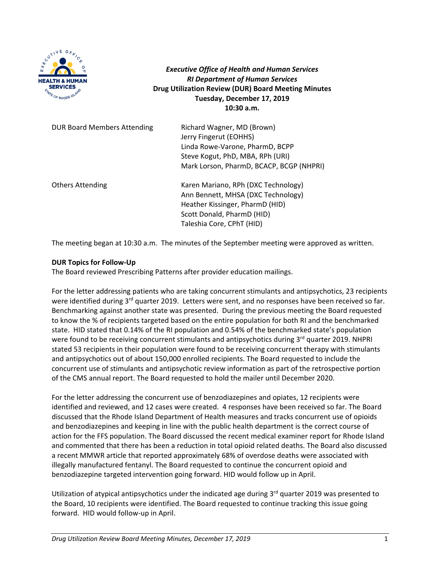

*Executive Office of Health and Human Services RI Department of Human Services* **Drug Utilization Review (DUR) Board Meeting Minutes Tuesday, December 17, 2019 10:30 a.m.**

| <b>DUR Board Members Attending</b> | Richard Wagner, MD (Brown)<br>Jerry Fingerut (EOHHS)<br>Linda Rowe-Varone, PharmD, BCPP<br>Steve Kogut, PhD, MBA, RPh (URI)<br>Mark Lorson, PharmD, BCACP, BCGP (NHPRI) |
|------------------------------------|-------------------------------------------------------------------------------------------------------------------------------------------------------------------------|
| <b>Others Attending</b>            | Karen Mariano, RPh (DXC Technology)<br>Ann Bennett, MHSA (DXC Technology)<br>Heather Kissinger, PharmD (HID)<br>Scott Donald, PharmD (HID)<br>Taleshia Core, CPhT (HID) |

The meeting began at 10:30 a.m. The minutes of the September meeting were approved as written.

## **DUR Topics for Follow‐Up**

The Board reviewed Prescribing Patterns after provider education mailings.

For the letter addressing patients who are taking concurrent stimulants and antipsychotics, 23 recipients were identified during  $3^{rd}$  quarter 2019. Letters were sent, and no responses have been received so far. Benchmarking against another state was presented. During the previous meeting the Board requested to know the % of recipients targeted based on the entire population for both RI and the benchmarked state. HID stated that 0.14% of the RI population and 0.54% of the benchmarked state's population were found to be receiving concurrent stimulants and antipsychotics during 3<sup>rd</sup> quarter 2019. NHPRI stated 53 recipients in their population were found to be receiving concurrent therapy with stimulants and antipsychotics out of about 150,000 enrolled recipients. The Board requested to include the concurrent use of stimulants and antipsychotic review information as part of the retrospective portion of the CMS annual report. The Board requested to hold the mailer until December 2020.

For the letter addressing the concurrent use of benzodiazepines and opiates, 12 recipients were identified and reviewed, and 12 cases were created. 4 responses have been received so far. The Board discussed that the Rhode Island Department of Health measures and tracks concurrent use of opioids and benzodiazepines and keeping in line with the public health department is the correct course of action for the FFS population. The Board discussed the recent medical examiner report for Rhode Island and commented that there has been a reduction in total opioid related deaths. The Board also discussed a recent MMWR article that reported approximately 68% of overdose deaths were associated with illegally manufactured fentanyl. The Board requested to continue the concurrent opioid and benzodiazepine targeted intervention going forward. HID would follow up in April.

Utilization of atypical antipsychotics under the indicated age during 3<sup>rd</sup> quarter 2019 was presented to the Board, 10 recipients were identified. The Board requested to continue tracking this issue going forward. HID would follow‐up in April.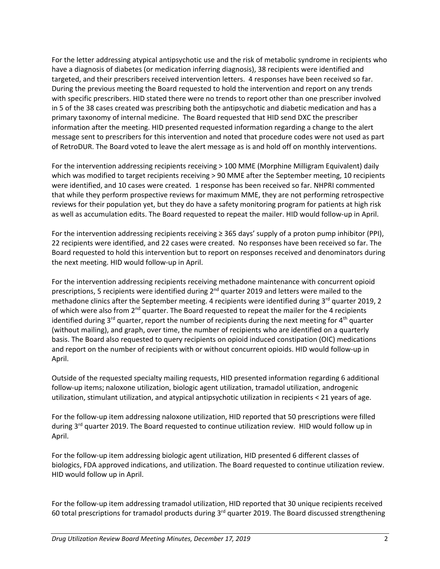For the letter addressing atypical antipsychotic use and the risk of metabolic syndrome in recipients who have a diagnosis of diabetes (or medication inferring diagnosis), 38 recipients were identified and targeted, and their prescribers received intervention letters. 4 responses have been received so far. During the previous meeting the Board requested to hold the intervention and report on any trends with specific prescribers. HID stated there were no trends to report other than one prescriber involved in 5 of the 38 cases created was prescribing both the antipsychotic and diabetic medication and has a primary taxonomy of internal medicine. The Board requested that HID send DXC the prescriber information after the meeting. HID presented requested information regarding a change to the alert message sent to prescribers for this intervention and noted that procedure codes were not used as part of RetroDUR. The Board voted to leave the alert message as is and hold off on monthly interventions.

For the intervention addressing recipients receiving > 100 MME (Morphine Milligram Equivalent) daily which was modified to target recipients receiving > 90 MME after the September meeting, 10 recipients were identified, and 10 cases were created. 1 response has been received so far. NHPRI commented that while they perform prospective reviews for maximum MME, they are not performing retrospective reviews for their population yet, but they do have a safety monitoring program for patients at high risk as well as accumulation edits. The Board requested to repeat the mailer. HID would follow‐up in April.

For the intervention addressing recipients receiving  $\geq$  365 days' supply of a proton pump inhibitor (PPI), 22 recipients were identified, and 22 cases were created. No responses have been received so far. The Board requested to hold this intervention but to report on responses received and denominators during the next meeting. HID would follow‐up in April.

For the intervention addressing recipients receiving methadone maintenance with concurrent opioid prescriptions, 5 recipients were identified during 2<sup>nd</sup> quarter 2019 and letters were mailed to the methadone clinics after the September meeting. 4 recipients were identified during  $3<sup>rd</sup>$  quarter 2019, 2 of which were also from  $2^{nd}$  quarter. The Board requested to repeat the mailer for the 4 recipients identified during  $3<sup>rd</sup>$  quarter, report the number of recipients during the next meeting for  $4<sup>th</sup>$  quarter (without mailing), and graph, over time, the number of recipients who are identified on a quarterly basis. The Board also requested to query recipients on opioid induced constipation (OIC) medications and report on the number of recipients with or without concurrent opioids. HID would follow‐up in April.

Outside of the requested specialty mailing requests, HID presented information regarding 6 additional follow‐up items; naloxone utilization, biologic agent utilization, tramadol utilization, androgenic utilization, stimulant utilization, and atypical antipsychotic utilization in recipients < 21 years of age.

For the follow-up item addressing naloxone utilization, HID reported that 50 prescriptions were filled during 3<sup>rd</sup> quarter 2019. The Board requested to continue utilization review. HID would follow up in April.

For the follow‐up item addressing biologic agent utilization, HID presented 6 different classes of biologics, FDA approved indications, and utilization. The Board requested to continue utilization review. HID would follow up in April.

For the follow‐up item addressing tramadol utilization, HID reported that 30 unique recipients received 60 total prescriptions for tramadol products during  $3<sup>rd</sup>$  quarter 2019. The Board discussed strengthening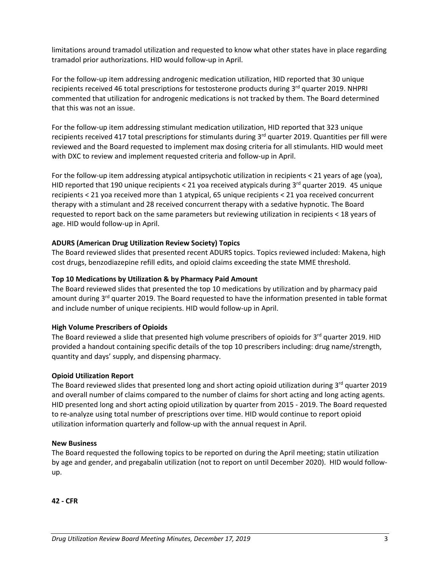limitations around tramadol utilization and requested to know what other states have in place regarding tramadol prior authorizations. HID would follow‐up in April.

For the follow-up item addressing androgenic medication utilization, HID reported that 30 unique recipients received 46 total prescriptions for testosterone products during 3<sup>rd</sup> quarter 2019. NHPRI commented that utilization for androgenic medications is not tracked by them. The Board determined that this was not an issue.

For the follow-up item addressing stimulant medication utilization, HID reported that 323 unique recipients received 417 total prescriptions for stimulants during 3<sup>rd</sup> quarter 2019. Quantities per fill were reviewed and the Board requested to implement max dosing criteria for all stimulants. HID would meet with DXC to review and implement requested criteria and follow-up in April.

For the follow-up item addressing atypical antipsychotic utilization in recipients < 21 years of age (yoa), HID reported that 190 unique recipients < 21 yoa received atypicals during  $3<sup>rd</sup>$  quarter 2019. 45 unique recipients < 21 yoa received more than 1 atypical, 65 unique recipients < 21 yoa received concurrent therapy with a stimulant and 28 received concurrent therapy with a sedative hypnotic. The Board requested to report back on the same parameters but reviewing utilization in recipients < 18 years of age. HID would follow‐up in April.

# **ADURS (American Drug Utilization Review Society) Topics**

The Board reviewed slides that presented recent ADURS topics. Topics reviewed included: Makena, high cost drugs, benzodiazepine refill edits, and opioid claims exceeding the state MME threshold.

## **Top 10 Medications by Utilization & by Pharmacy Paid Amount**

The Board reviewed slides that presented the top 10 medications by utilization and by pharmacy paid amount during 3<sup>rd</sup> quarter 2019. The Board requested to have the information presented in table format and include number of unique recipients. HID would follow‐up in April.

## **High Volume Prescribers of Opioids**

The Board reviewed a slide that presented high volume prescribers of opioids for 3<sup>rd</sup> quarter 2019. HID provided a handout containing specific details of the top 10 prescribers including: drug name/strength, quantity and days' supply, and dispensing pharmacy.

## **Opioid Utilization Report**

The Board reviewed slides that presented long and short acting opioid utilization during 3<sup>rd</sup> quarter 2019 and overall number of claims compared to the number of claims for short acting and long acting agents. HID presented long and short acting opioid utilization by quarter from 2015 ‐ 2019. The Board requested to re-analyze using total number of prescriptions over time. HID would continue to report opioid utilization information quarterly and follow‐up with the annual request in April.

## **New Business**

The Board requested the following topics to be reported on during the April meeting; statin utilization by age and gender, and pregabalin utilization (not to report on until December 2020). HID would follow‐ up. 

**42 ‐ CFR**